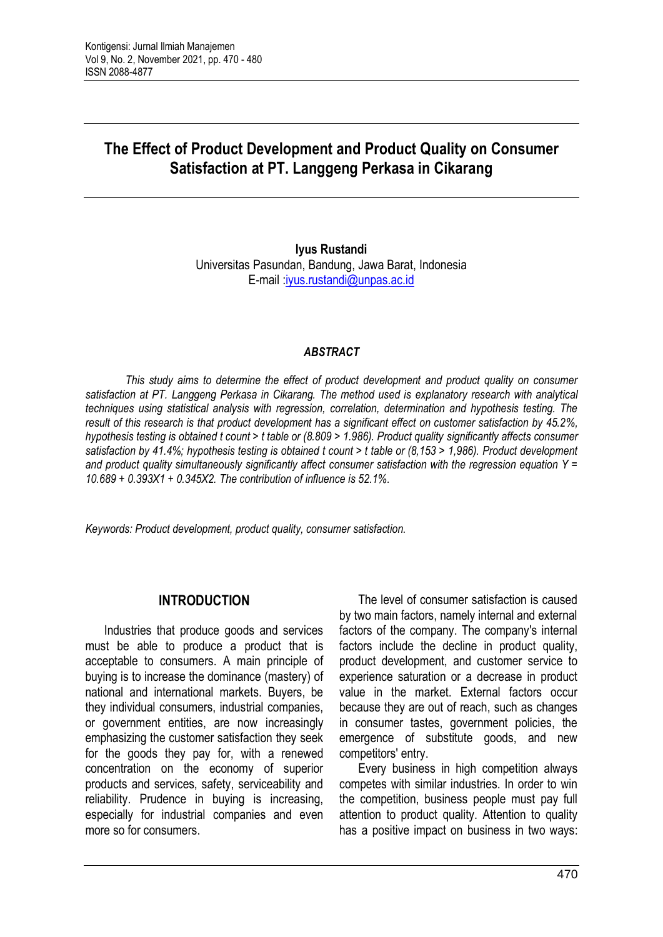# **The Effect of Product Development and Product Quality on Consumer Satisfaction at PT. Langgeng Perkasa in Cikarang**

**Iyus Rustandi** Universitas Pasundan, Bandung, Jawa Barat, Indonesia E-mail [:iyus.rustandi@unpas.ac.id](mailto:iyus.rustandi@unpas.ac.id)

#### *ABSTRACT*

*This study aims to determine the effect of product development and product quality on consumer satisfaction at PT. Langgeng Perkasa in Cikarang. The method used is explanatory research with analytical techniques using statistical analysis with regression, correlation, determination and hypothesis testing. The result of this research is that product development has a significant effect on customer satisfaction by 45.2%, hypothesis testing is obtained t count > t table or (8.809 > 1.986). Product quality significantly affects consumer satisfaction by 41.4%; hypothesis testing is obtained t count > t table or (8,153 > 1,986). Product development and product quality simultaneously significantly affect consumer satisfaction with the regression equation Y = 10.689 + 0.393X1 + 0.345X2. The contribution of influence is 52.1%.*

*Keywords: Product development, product quality, consumer satisfaction.*

# **INTRODUCTION**

Industries that produce goods and services must be able to produce a product that is acceptable to consumers. A main principle of buying is to increase the dominance (mastery) of national and international markets. Buyers, be they individual consumers, industrial companies, or government entities, are now increasingly emphasizing the customer satisfaction they seek for the goods they pay for, with a renewed concentration on the economy of superior products and services, safety, serviceability and reliability. Prudence in buying is increasing, especially for industrial companies and even more so for consumers.

The level of consumer satisfaction is caused by two main factors, namely internal and external factors of the company. The company's internal factors include the decline in product quality, product development, and customer service to experience saturation or a decrease in product value in the market. External factors occur because they are out of reach, such as changes in consumer tastes, government policies, the emergence of substitute goods, and new competitors' entry.

Every business in high competition always competes with similar industries. In order to win the competition, business people must pay full attention to product quality. Attention to quality has a positive impact on business in two ways: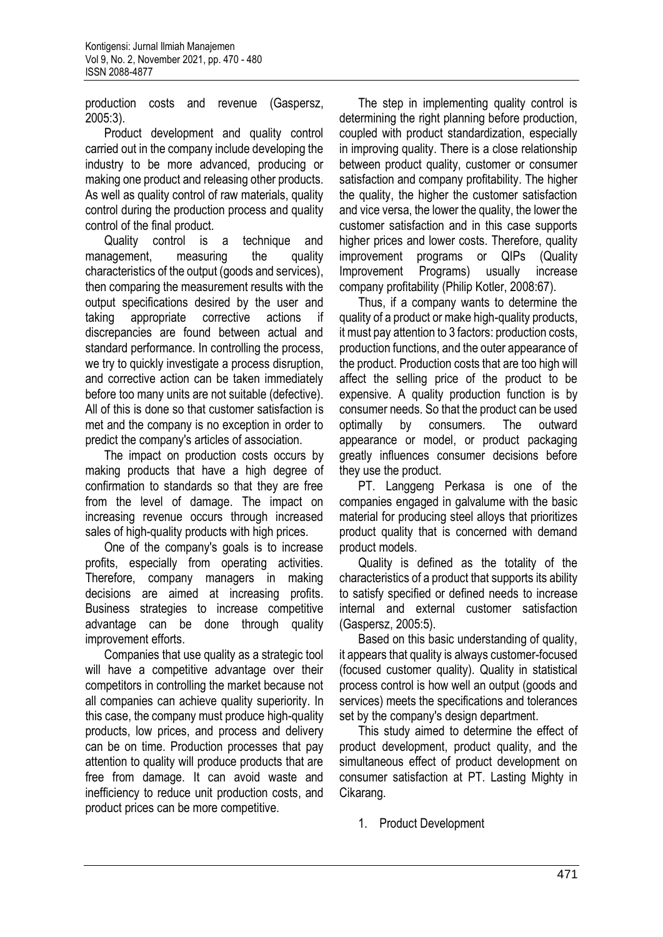production costs and revenue (Gaspersz, 2005:3).

Product development and quality control carried out in the company include developing the industry to be more advanced, producing or making one product and releasing other products. As well as quality control of raw materials, quality control during the production process and quality control of the final product.

Quality control is a technique and management, measuring the quality characteristics of the output (goods and services), then comparing the measurement results with the output specifications desired by the user and taking appropriate corrective actions if discrepancies are found between actual and standard performance. In controlling the process, we try to quickly investigate a process disruption, and corrective action can be taken immediately before too many units are not suitable (defective). All of this is done so that customer satisfaction is met and the company is no exception in order to predict the company's articles of association.

The impact on production costs occurs by making products that have a high degree of confirmation to standards so that they are free from the level of damage. The impact on increasing revenue occurs through increased sales of high-quality products with high prices.

One of the company's goals is to increase profits, especially from operating activities. Therefore, company managers in making decisions are aimed at increasing profits. Business strategies to increase competitive advantage can be done through quality improvement efforts.

Companies that use quality as a strategic tool will have a competitive advantage over their competitors in controlling the market because not all companies can achieve quality superiority. In this case, the company must produce high-quality products, low prices, and process and delivery can be on time. Production processes that pay attention to quality will produce products that are free from damage. It can avoid waste and inefficiency to reduce unit production costs, and product prices can be more competitive.

The step in implementing quality control is determining the right planning before production, coupled with product standardization, especially in improving quality. There is a close relationship between product quality, customer or consumer satisfaction and company profitability. The higher the quality, the higher the customer satisfaction and vice versa, the lower the quality, the lower the customer satisfaction and in this case supports higher prices and lower costs. Therefore, quality improvement programs or QIPs (Quality Improvement Programs) usually increase company profitability (Philip Kotler, 2008:67).

Thus, if a company wants to determine the quality of a product or make high-quality products, it must pay attention to 3 factors: production costs, production functions, and the outer appearance of the product. Production costs that are too high will affect the selling price of the product to be expensive. A quality production function is by consumer needs. So that the product can be used optimally by consumers. The outward appearance or model, or product packaging greatly influences consumer decisions before they use the product.

PT. Langgeng Perkasa is one of the companies engaged in galvalume with the basic material for producing steel alloys that prioritizes product quality that is concerned with demand product models.

Quality is defined as the totality of the characteristics of a product that supports its ability to satisfy specified or defined needs to increase internal and external customer satisfaction (Gaspersz, 2005:5).

Based on this basic understanding of quality, it appears that quality is always customer-focused (focused customer quality). Quality in statistical process control is how well an output (goods and services) meets the specifications and tolerances set by the company's design department.

This study aimed to determine the effect of product development, product quality, and the simultaneous effect of product development on consumer satisfaction at PT. Lasting Mighty in Cikarang.

1. Product Development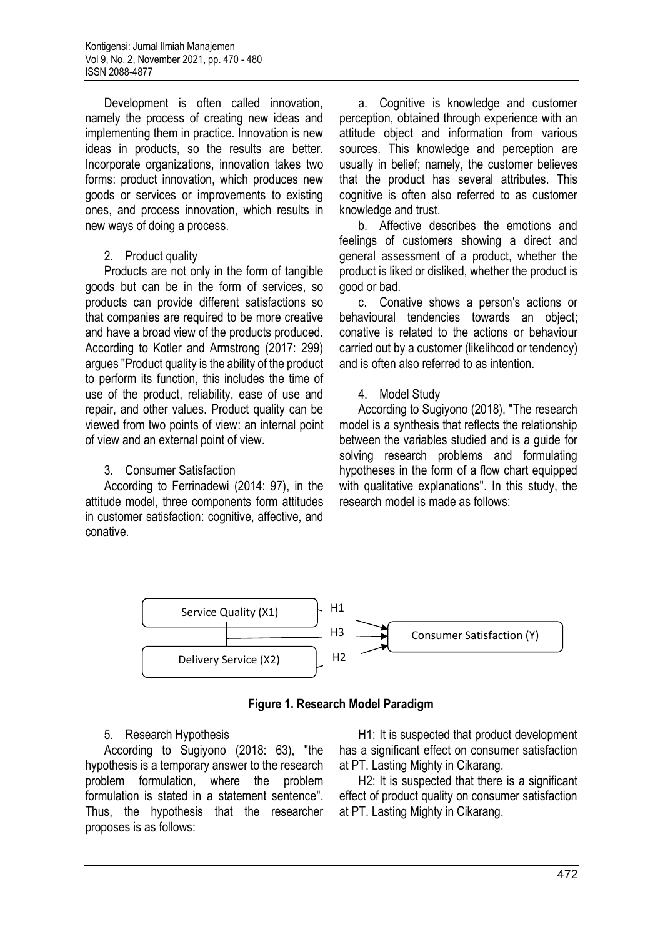Development is often called innovation, namely the process of creating new ideas and implementing them in practice. Innovation is new ideas in products, so the results are better. Incorporate organizations, innovation takes two forms: product innovation, which produces new goods or services or improvements to existing ones, and process innovation, which results in new ways of doing a process.

#### 2. Product quality

Products are not only in the form of tangible goods but can be in the form of services, so products can provide different satisfactions so that companies are required to be more creative and have a broad view of the products produced. According to Kotler and Armstrong (2017: 299) argues "Product quality is the ability of the product to perform its function, this includes the time of use of the product, reliability, ease of use and repair, and other values. Product quality can be viewed from two points of view: an internal point of view and an external point of view.

### 3. Consumer Satisfaction

According to Ferrinadewi (2014: 97), in the attitude model, three components form attitudes in customer satisfaction: cognitive, affective, and conative.

a. Cognitive is knowledge and customer perception, obtained through experience with an attitude object and information from various sources. This knowledge and perception are usually in belief; namely, the customer believes that the product has several attributes. This cognitive is often also referred to as customer knowledge and trust.

b. Affective describes the emotions and feelings of customers showing a direct and general assessment of a product, whether the product is liked or disliked, whether the product is good or bad.

c. Conative shows a person's actions or behavioural tendencies towards an object; conative is related to the actions or behaviour carried out by a customer (likelihood or tendency) and is often also referred to as intention.

#### 4. Model Study

According to Sugiyono (2018), "The research model is a synthesis that reflects the relationship between the variables studied and is a guide for solving research problems and formulating hypotheses in the form of a flow chart equipped with qualitative explanations". In this study, the research model is made as follows:





### 5. Research Hypothesis

According to Sugiyono (2018: 63), "the hypothesis is a temporary answer to the research problem formulation, where the problem formulation is stated in a statement sentence". Thus, the hypothesis that the researcher proposes is as follows:

H1: It is suspected that product development has a significant effect on consumer satisfaction at PT. Lasting Mighty in Cikarang.

H2: It is suspected that there is a significant effect of product quality on consumer satisfaction at PT. Lasting Mighty in Cikarang.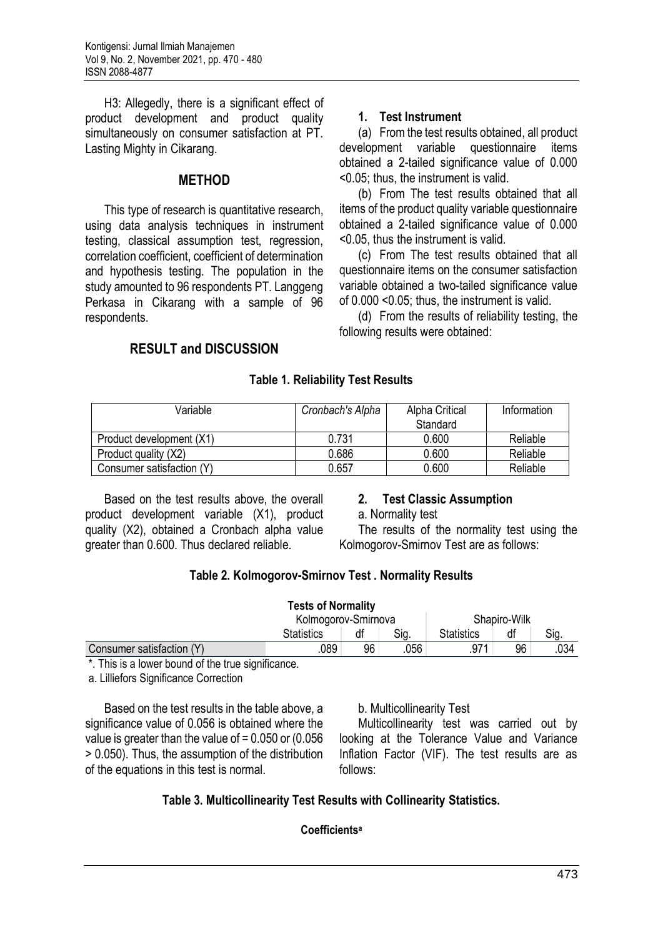H3: Allegedly, there is a significant effect of product development and product quality simultaneously on consumer satisfaction at PT. Lasting Mighty in Cikarang.

# **METHOD**

This type of research is quantitative research, using data analysis techniques in instrument testing, classical assumption test, regression, correlation coefficient, coefficient of determination and hypothesis testing. The population in the study amounted to 96 respondents PT. Langgeng Perkasa in Cikarang with a sample of 96 respondents.

# **1. Test Instrument**

(a) From the test results obtained, all product development variable questionnaire items obtained a 2-tailed significance value of 0.000 <0.05; thus, the instrument is valid.

(b) From The test results obtained that all items of the product quality variable questionnaire obtained a 2-tailed significance value of 0.000 <0.05, thus the instrument is valid.

(c) From The test results obtained that all questionnaire items on the consumer satisfaction variable obtained a two-tailed significance value of 0.000 <0.05; thus, the instrument is valid.

(d) From the results of reliability testing, the following results were obtained:

# **RESULT and DISCUSSION**

# **Table 1. Reliability Test Results**

| Variable                  | Cronbach's Alpha | Alpha Critical | Information |
|---------------------------|------------------|----------------|-------------|
|                           |                  | Standard       |             |
| Product development (X1)  | 0.731            | 0.600          | Reliable    |
| Product quality (X2)      | 0.686            | 0.600          | Reliable    |
| Consumer satisfaction (Y) | 0.657            | 0.600          | Reliable    |

Based on the test results above, the overall product development variable (X1), product quality (X2), obtained a Cronbach alpha value greater than 0.600. Thus declared reliable.

# **2. Test Classic Assumption**

a. Normality test

The results of the normality test using the Kolmogorov-Smirnov Test are as follows:

# **Table 2. Kolmogorov-Smirnov Test . Normality Results**

|                           | <b>Tests of Normality</b> |    |      |                   |              |      |
|---------------------------|---------------------------|----|------|-------------------|--------------|------|
|                           | Kolmogorov-Smirnova       |    |      |                   | Shapiro-Wilk |      |
|                           | Statistics                | df | Sig. | <b>Statistics</b> | df           | Sig. |
| Consumer satisfaction (Y) | .089                      | 96 | .056 | 971               | 96           | .034 |
| .<br>.<br>.               |                           |    |      |                   |              |      |

\*. This is a lower bound of the true significance.

a. Lilliefors Significance Correction

Based on the test results in the table above, a significance value of 0.056 is obtained where the value is greater than the value of  $= 0.050$  or (0.056) > 0.050). Thus, the assumption of the distribution of the equations in this test is normal.

# b. Multicollinearity Test

Multicollinearity test was carried out by looking at the Tolerance Value and Variance Inflation Factor (VIF). The test results are as follows:

# **Table 3. Multicollinearity Test Results with Collinearity Statistics.**

# **Coefficientsa**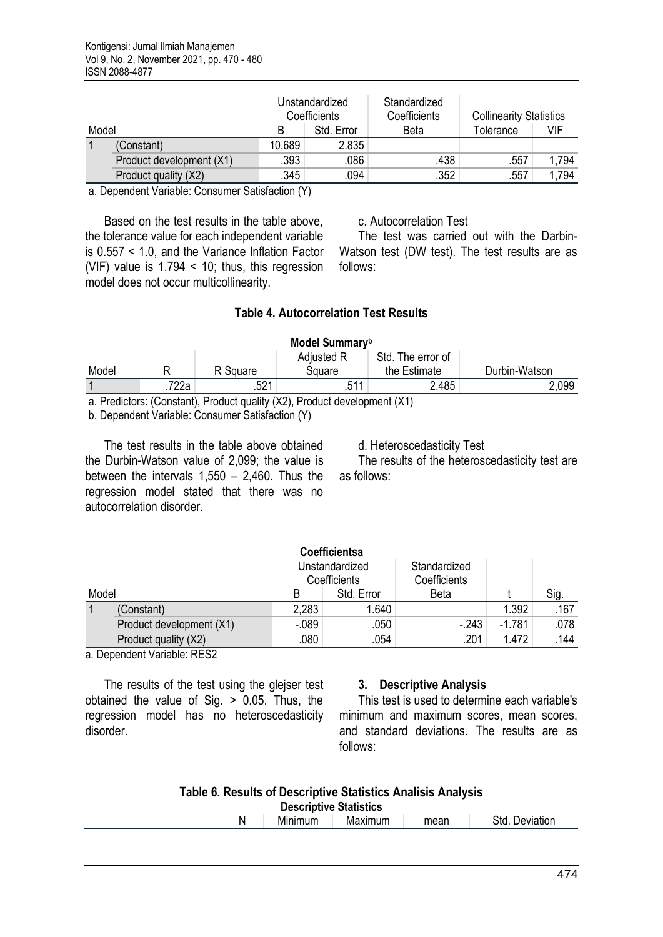|       |                          | Unstandardized<br>Coefficients |            | Standardized<br>Coefficients | <b>Collinearity Statistics</b> |       |
|-------|--------------------------|--------------------------------|------------|------------------------------|--------------------------------|-------|
| Model |                          |                                | Std. Error | Beta                         | Tolerance                      | VIF   |
|       | (Constant)               | 10,689                         | 2.835      |                              |                                |       |
|       | Product development (X1) | .393                           | .086       | .438                         | .557                           | 1.794 |
|       | Product quality (X2)     | .345                           | .094       | .352                         | .557                           | 1.794 |
|       | .                        | $\sim$<br>- - - -              |            |                              |                                |       |

a. Dependent Variable: Consumer Satisfaction (Y)

Based on the test results in the table above, the tolerance value for each independent variable is 0.557 < 1.0, and the Variance Inflation Factor (VIF) value is 1.794 < 10; thus, this regression model does not occur multicollinearity.

#### c. Autocorrelation Test

The test was carried out with the Darbin-Watson test (DW test). The test results are as follows:

# **Table 4. Autocorrelation Test Results**

| Model Summary <sup>b</sup>                                               |                  |          |            |                   |               |  |
|--------------------------------------------------------------------------|------------------|----------|------------|-------------------|---------------|--|
|                                                                          |                  |          | Adjusted R | Std. The error of |               |  |
| Model                                                                    |                  | R Square | Square     | the Estimate      | Durbin-Watson |  |
|                                                                          | <sup>7</sup> 22a | .521     | .511       | 2.485             | .099          |  |
| o Desdistazzi (Canatant), Desduct auglitu (VO), Desduct dauglangent (V1) |                  |          |            |                   |               |  |

a. Predictors: (Constant), Product quality (X2), Product development (X1)

b. Dependent Variable: Consumer Satisfaction (Y)

The test results in the table above obtained the Durbin-Watson value of 2,099; the value is between the intervals  $1,550 - 2,460$ . Thus the regression model stated that there was no autocorrelation disorder.

d. Heteroscedasticity Test

The results of the heteroscedasticity test are as follows:

|       |                          |          | Coefficientsa                  |                              |          |      |
|-------|--------------------------|----------|--------------------------------|------------------------------|----------|------|
|       |                          |          | Unstandardized<br>Coefficients | Standardized<br>Coefficients |          |      |
| Model |                          | B        | Std. Error                     | <b>Beta</b>                  |          | Sig. |
|       | (Constant)               | 2,283    | 1.640                          |                              | 1.392    | .167 |
|       | Product development (X1) | $-0.089$ | .050                           | $-243$                       | $-1.781$ | .078 |
|       | Product quality (X2)     | .080     | .054                           | .201                         | 1.472    | .144 |

a. Dependent Variable: RES2

The results of the test using the glejser test obtained the value of Sig. > 0.05. Thus, the regression model has no heteroscedasticity disorder.

### **3. Descriptive Analysis**

This test is used to determine each variable's minimum and maximum scores, mean scores and standard deviations. The results are as follows:

| Table 6. Results of Descriptive Statistics Analisis Analysis<br><b>Descriptive Statistics</b> |                |         |      |                |  |
|-----------------------------------------------------------------------------------------------|----------------|---------|------|----------------|--|
|                                                                                               | <b>Minimum</b> | Maximum | mean | Std. Deviation |  |
|                                                                                               |                |         |      |                |  |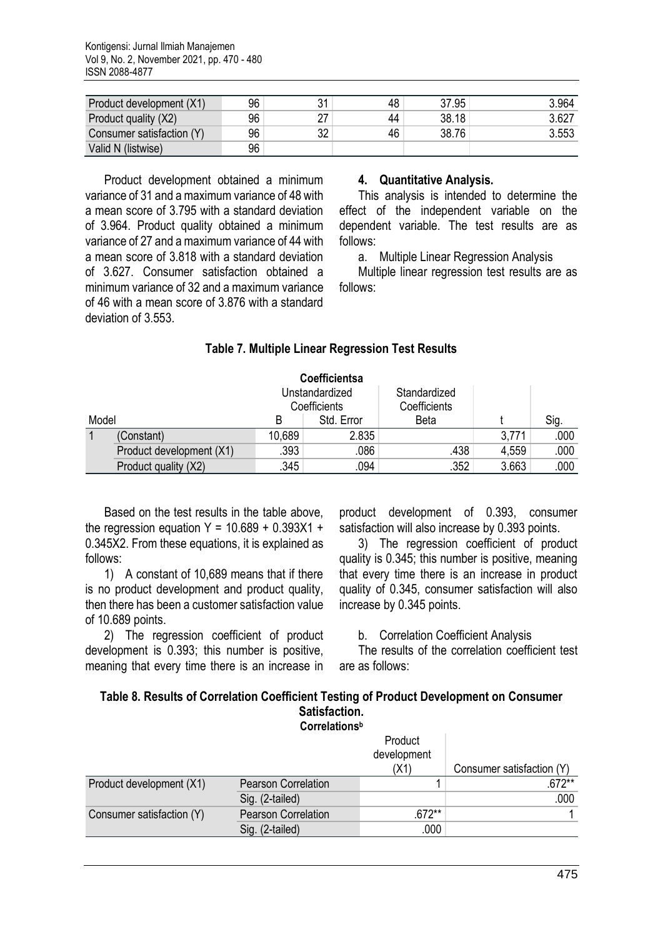| Product development (X1)  | 96 |    | 48 | 37.95 | 3.964 |
|---------------------------|----|----|----|-------|-------|
| Product quality (X2)      | 96 | ົ  | 44 | 38.18 | 3.627 |
| Consumer satisfaction (Y) | 96 | 32 | 46 | 38.76 | 3.553 |
| Valid N (listwise)        | 96 |    |    |       |       |

Product development obtained a minimum variance of 31 and a maximum variance of 48 with a mean score of 3.795 with a standard deviation of 3.964. Product quality obtained a minimum variance of 27 and a maximum variance of 44 with a mean score of 3.818 with a standard deviation of 3.627. Consumer satisfaction obtained a minimum variance of 32 and a maximum variance of 46 with a mean score of 3.876 with a standard deviation of 3.553.

#### **4. Quantitative Analysis.**

This analysis is intended to determine the effect of the independent variable on the dependent variable. The test results are as follows:

a. Multiple Linear Regression Analysis

Multiple linear regression test results are as follows:

|       |                          |        | Coefficientsa                  |                              |       |      |
|-------|--------------------------|--------|--------------------------------|------------------------------|-------|------|
|       |                          |        | Unstandardized<br>Coefficients | Standardized<br>Coefficients |       |      |
| Model |                          | B      | Std. Error                     | Beta                         |       | Sig. |
|       | (Constant)               | 10,689 | 2.835                          |                              | 3,771 | .000 |
|       | Product development (X1) | .393   | .086                           | .438                         | 4,559 | .000 |
|       | Product quality (X2)     | .345   | .094                           | .352                         | 3.663 | .000 |

# **Table 7. Multiple Linear Regression Test Results**

Based on the test results in the table above, the regression equation Y =  $10.689 + 0.393X1 +$ 0.345X2. From these equations, it is explained as follows:

1) A constant of 10,689 means that if there is no product development and product quality, then there has been a customer satisfaction value of 10.689 points.

2) The regression coefficient of product development is 0.393; this number is positive, meaning that every time there is an increase in

product development of 0.393, consumer satisfaction will also increase by 0.393 points.

3) The regression coefficient of product quality is 0.345; this number is positive, meaning that every time there is an increase in product quality of 0.345, consumer satisfaction will also increase by 0.345 points.

b. Correlation Coefficient Analysis

The results of the correlation coefficient test are as follows:

| Table 8. Results of Correlation Coefficient Testing of Product Development on Consumer |
|----------------------------------------------------------------------------------------|
| <b>Satisfaction.</b>                                                                   |

|                           | Correlations <sup>b</sup>  |                        |                           |
|---------------------------|----------------------------|------------------------|---------------------------|
|                           |                            | Product<br>development |                           |
|                           |                            | (X1)                   | Consumer satisfaction (Y) |
| Product development (X1)  | <b>Pearson Correlation</b> |                        | .672**                    |
|                           | Sig. (2-tailed)            |                        | .000                      |
| Consumer satisfaction (Y) | <b>Pearson Correlation</b> | $.672**$               |                           |
|                           | Sig. (2-tailed)            | .000                   |                           |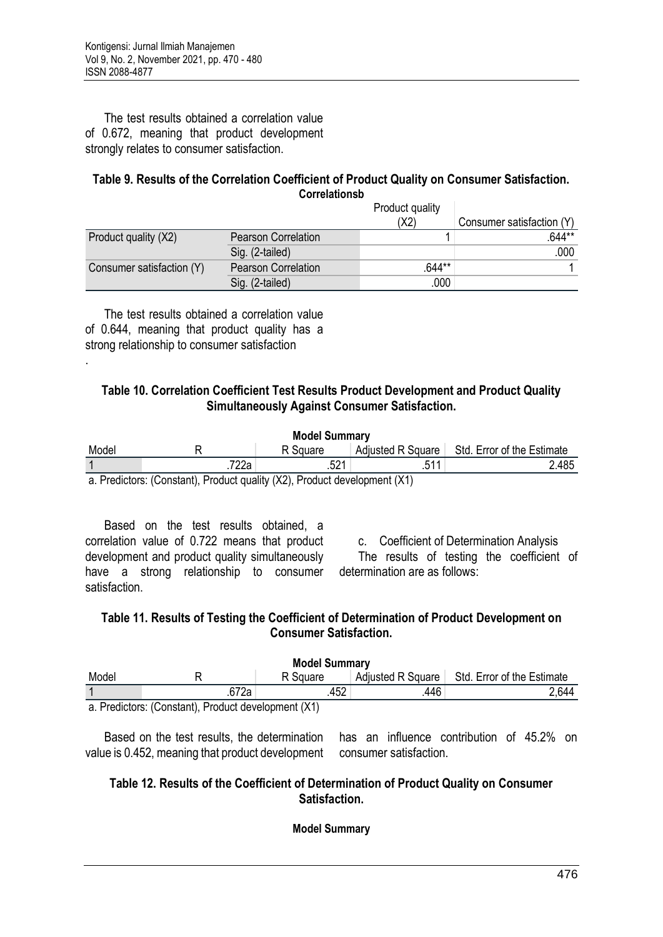The test results obtained a correlation value of 0.672, meaning that product development strongly relates to consumer satisfaction.

#### **Table 9. Results of the Correlation Coefficient of Product Quality on Consumer Satisfaction. Correlationsb**

|                           |                            | Product quality |                           |
|---------------------------|----------------------------|-----------------|---------------------------|
|                           |                            | (X2)            | Consumer satisfaction (Y) |
| Product quality (X2)      | <b>Pearson Correlation</b> |                 | $.644**$                  |
|                           | Sig. (2-tailed)            |                 | .000                      |
| Consumer satisfaction (Y) | <b>Pearson Correlation</b> | .644**          |                           |
|                           | Sig. (2-tailed)            | .000            |                           |

The test results obtained a correlation value of 0.644, meaning that product quality has a strong relationship to consumer satisfaction

.

### **Table 10. Correlation Coefficient Test Results Product Development and Product Quality Simultaneously Against Consumer Satisfaction.**

| <b>Model Summary</b> |                                                  |                   |                                         |                            |  |  |  |
|----------------------|--------------------------------------------------|-------------------|-----------------------------------------|----------------------------|--|--|--|
| Model                |                                                  | R Square          | Adjusted R Square                       | Std. Error of the Estimate |  |  |  |
|                      | בררד<br>1 z za                                   | <b>CO1</b><br>.UZ | E11                                     | 2.485                      |  |  |  |
| .<br>$\sim$          | $\overline{\phantom{a}}$<br>$\sim$ $\sim$ $\sim$ | $\cdots$ $\cdots$ | $\cdot$ $\cdot$ $\cdot$ $\cdot$ $\cdot$ |                            |  |  |  |

a. Predictors: (Constant), Product quality (X2), Product development (X1)

Based on the test results obtained, a correlation value of 0.722 means that product development and product quality simultaneously have a strong relationship to consumer determination are as follows: satisfaction.

c. Coefficient of Determination Analysis The results of testing the coefficient of

# **Table 11. Results of Testing the Coefficient of Determination of Product Development on Consumer Satisfaction.**

| <b>Model Summary</b>                              |      |          |                          |                            |  |  |  |  |
|---------------------------------------------------|------|----------|--------------------------|----------------------------|--|--|--|--|
| Model                                             |      | R Square | <b>Adjusted R Square</b> | Std. Error of the Estimate |  |  |  |  |
|                                                   | 672a | 452      | 446                      | 2.644                      |  |  |  |  |
| a Prodictors: (Constant) Product development (Y1) |      |          |                          |                            |  |  |  |  |

a. Predictors: (Constant), Product development (X1)

Based on the test results, the determination value is 0.452, meaning that product development consumer satisfaction. has an influence contribution of 45.2% on

### **Table 12. Results of the Coefficient of Determination of Product Quality on Consumer Satisfaction.**

**Model Summary**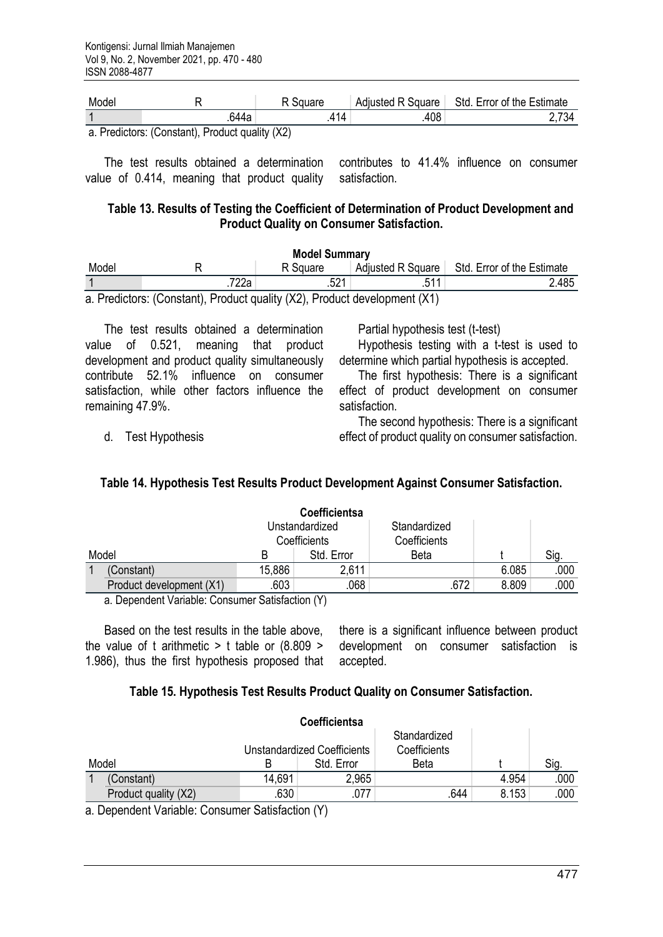| Model |                                               | ⊰αuare  | Adjusted R Square | <b>Error of the Estimate</b><br>Std. |
|-------|-----------------------------------------------|---------|-------------------|--------------------------------------|
|       | .644a                                         | и<br>14 | 408               | 734                                  |
|       | o Dradistore: (Constant) Dradust quality (V2) |         |                   |                                      |

a. Predictors: (Constant), Product quality (X2)

The test results obtained a determination value of 0.414, meaning that product quality contributes to 41.4% influence on consumer satisfaction.

### **Table 13. Results of Testing the Coefficient of Determination of Product Development and Product Quality on Consumer Satisfaction.**

| <b>Model Summary</b>                                                        |      |          |                   |                            |  |  |  |
|-----------------------------------------------------------------------------|------|----------|-------------------|----------------------------|--|--|--|
| Model                                                                       |      | R Square | Adjusted R Square | Std. Error of the Estimate |  |  |  |
|                                                                             | 722a |          |                   | 2.485                      |  |  |  |
| o Dreabetore: (Constant), Dreabeth quality (VO), Dreabeth douglappeart (V1) |      |          |                   |                            |  |  |  |

a. Predictors: (Constant), Product quality (X2), Product development (X1)

The test results obtained a determination value of 0.521, meaning that product development and product quality simultaneously contribute 52.1% influence on consumer satisfaction, while other factors influence the remaining 47.9%.

d. Test Hypothesis

Partial hypothesis test (t-test)

Hypothesis testing with a t-test is used to determine which partial hypothesis is accepted.

The first hypothesis: There is a significant effect of product development on consumer satisfaction.

The second hypothesis: There is a significant effect of product quality on consumer satisfaction.

# **Table 14. Hypothesis Test Results Product Development Against Consumer Satisfaction.**

|                          |        | <b>Coefficientsa</b>           |                              |       |      |
|--------------------------|--------|--------------------------------|------------------------------|-------|------|
|                          |        | Unstandardized<br>Coefficients | Standardized<br>Coefficients |       |      |
| Model                    |        | Std. Error                     | <b>Beta</b>                  |       | Sig. |
| (Constant)               | 15,886 | 2,611                          |                              | 6.085 | .000 |
| Product development (X1) | .603   | .068                           | .672                         | 8.809 | .000 |

a. Dependent Variable: Consumer Satisfaction (Y)

Based on the test results in the table above, the value of t arithmetic  $>$  t table or (8.809  $>$ 1.986), thus the first hypothesis proposed that

there is a significant influence between product development on consumer satisfaction is accepted.

### **Table 15. Hypothesis Test Results Product Quality on Consumer Satisfaction.**

| Standardized<br><b>Unstandardized Coefficients</b>    |  | <b>Coefficientsa</b> |              |      |
|-------------------------------------------------------|--|----------------------|--------------|------|
|                                                       |  |                      | Coefficients |      |
| Model<br>Std. Error<br><b>Beta</b>                    |  |                      |              | Sig  |
| 14,691<br>2,965<br>4.954<br>(Constant)                |  |                      |              | .000 |
| .630<br>.077<br>.644<br>8.153<br>Product quality (X2) |  |                      |              | .000 |

a. Dependent Variable: Consumer Satisfaction (Y)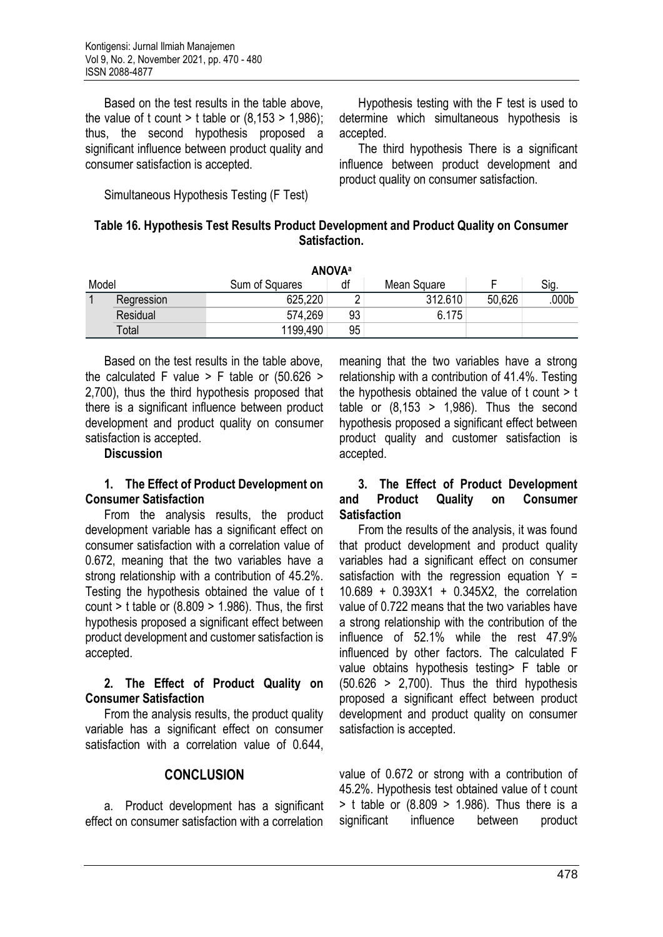Based on the test results in the table above, the value of t count  $>$  t table or (8,153  $>$  1,986); thus, the second hypothesis proposed a significant influence between product quality and consumer satisfaction is accepted.

Simultaneous Hypothesis Testing (F Test)

Hypothesis testing with the F test is used to determine which simultaneous hypothesis is accepted.

The third hypothesis There is a significant influence between product development and product quality on consumer satisfaction.

### **Table 16. Hypothesis Test Results Product Development and Product Quality on Consumer Satisfaction.**

|       | <b>ANOVA</b> <sup>a</sup> |                |    |             |        |                   |  |  |  |
|-------|---------------------------|----------------|----|-------------|--------|-------------------|--|--|--|
| Model |                           | Sum of Squares | df | Mean Square |        | Sig.              |  |  |  |
|       | Regression                | 625,220        |    | 312.610     | 50,626 | .000 <sub>b</sub> |  |  |  |
|       | Residual                  | 574,269        | 93 | 6.175       |        |                   |  |  |  |
|       | Total                     | 1199,490       | 95 |             |        |                   |  |  |  |

Based on the test results in the table above, the calculated F value  $>$  F table or (50.626  $>$ 2,700), thus the third hypothesis proposed that there is a significant influence between product development and product quality on consumer satisfaction is accepted.

#### **Discussion**

### **1. The Effect of Product Development on Consumer Satisfaction**

From the analysis results, the product development variable has a significant effect on consumer satisfaction with a correlation value of 0.672, meaning that the two variables have a strong relationship with a contribution of 45.2%. Testing the hypothesis obtained the value of t count  $>$  t table or (8.809  $>$  1.986). Thus, the first hypothesis proposed a significant effect between product development and customer satisfaction is accepted.

### **2. The Effect of Product Quality on Consumer Satisfaction**

From the analysis results, the product quality variable has a significant effect on consumer satisfaction with a correlation value of 0.644,

### **CONCLUSION**

a. Product development has a significant effect on consumer satisfaction with a correlation

meaning that the two variables have a strong relationship with a contribution of 41.4%. Testing the hypothesis obtained the value of  $t$  count  $> t$ table or  $(8.153 > 1.986)$ . Thus the second hypothesis proposed a significant effect between product quality and customer satisfaction is accepted.

### **3. The Effect of Product Development and Product Quality on Consumer Satisfaction**

From the results of the analysis, it was found that product development and product quality variables had a significant effect on consumer satisfaction with the regression equation  $Y =$ 10.689 + 0.393X1 + 0.345X2, the correlation value of 0.722 means that the two variables have a strong relationship with the contribution of the influence of 52.1% while the rest 47.9% influenced by other factors. The calculated F value obtains hypothesis testing> F table or  $(50.626 > 2,700)$ . Thus the third hypothesis proposed a significant effect between product development and product quality on consumer satisfaction is accepted.

value of 0.672 or strong with a contribution of 45.2%. Hypothesis test obtained value of t count  $>$  t table or (8.809  $>$  1.986). Thus there is a significant influence between product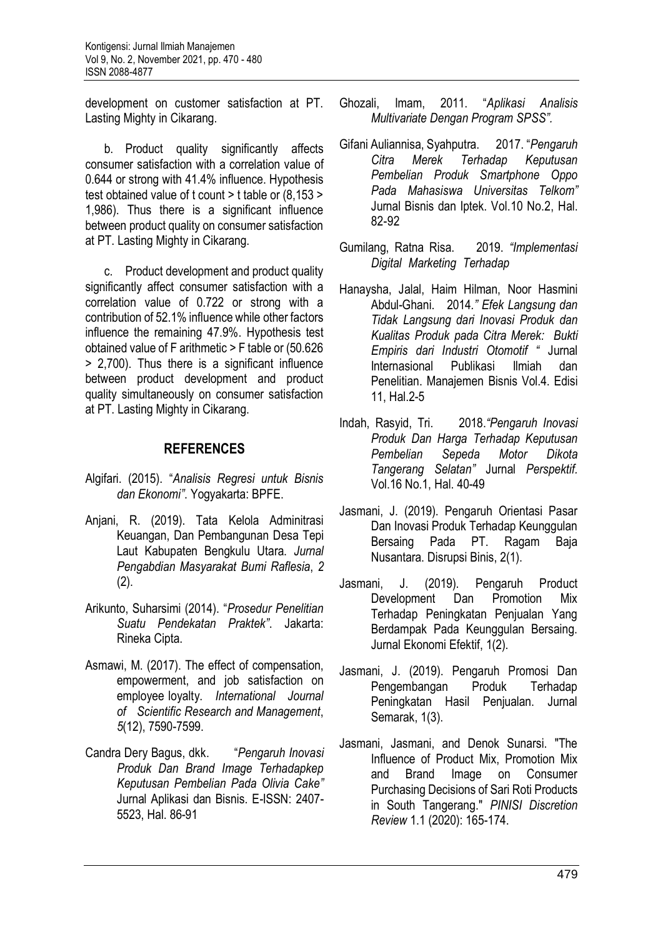development on customer satisfaction at PT. Lasting Mighty in Cikarang.

b. Product quality significantly affects consumer satisfaction with a correlation value of 0.644 or strong with 41.4% influence. Hypothesis test obtained value of t count > t table or (8,153 > 1,986). Thus there is a significant influence between product quality on consumer satisfaction at PT. Lasting Mighty in Cikarang.

c. Product development and product quality significantly affect consumer satisfaction with a correlation value of 0.722 or strong with a contribution of 52.1% influence while other factors influence the remaining 47.9%. Hypothesis test obtained value of F arithmetic > F table or (50.626 > 2,700). Thus there is a significant influence between product development and product quality simultaneously on consumer satisfaction at PT. Lasting Mighty in Cikarang.

# **REFERENCES**

- Algifari. (2015). "*Analisis Regresi untuk Bisnis dan Ekonomi"*. Yogyakarta: BPFE.
- Anjani, R. (2019). Tata Kelola Adminitrasi Keuangan, Dan Pembangunan Desa Tepi Laut Kabupaten Bengkulu Utara. *Jurnal Pengabdian Masyarakat Bumi Raflesia*, *2* (2).
- Arikunto, Suharsimi (2014). "*Prosedur Penelitian Suatu Pendekatan Praktek"*. Jakarta: Rineka Cipta.
- Asmawi, M. (2017). The effect of compensation, empowerment, and job satisfaction on employee loyalty. *International Journal of Scientific Research and Management*, *5*(12), 7590-7599.
- Candra Dery Bagus, dkk. "*Pengaruh Inovasi Produk Dan Brand Image Terhadapkep Keputusan Pembelian Pada Olivia Cake"* Jurnal Aplikasi dan Bisnis. E-ISSN: 2407- 5523, Hal. 86-91
- Ghozali, Imam, 2011. "*Aplikasi Analisis Multivariate Dengan Program SPSS".*
- Gifani Auliannisa, Syahputra. 2017. "*Pengaruh Citra Merek Terhadap Keputusan Pembelian Produk Smartphone Oppo Pada Mahasiswa Universitas Telkom"* Jurnal Bisnis dan Iptek. Vol.10 No.2, Hal. 82-92
- Gumilang, Ratna Risa. 2019. *"Implementasi Digital Marketing Terhadap*
- Hanaysha, Jalal, Haim Hilman, Noor Hasmini Abdul-Ghani. 2014*." Efek Langsung dan Tidak Langsung dari Inovasi Produk dan Kualitas Produk pada Citra Merek: Bukti Empiris dari Industri Otomotif "* Jurnal Internasional Publikasi Ilmiah dan Penelitian. Manajemen Bisnis Vol.4. Edisi 11, Hal.2-5
- Indah, Rasyid, Tri. 2018.*"Pengaruh Inovasi Produk Dan Harga Terhadap Keputusan Pembelian Sepeda Motor Dikota Tangerang Selatan"* Jurnal *Perspektif.* Vol.16 No.1, Hal. 40-49
- Jasmani, J. (2019). Pengaruh Orientasi Pasar Dan Inovasi Produk Terhadap Keunggulan Bersaing Pada PT. Ragam Baja Nusantara. Disrupsi Binis, 2(1).
- Jasmani, J. (2019). Pengaruh Product Development Dan Promotion Mix Terhadap Peningkatan Penjualan Yang Berdampak Pada Keunggulan Bersaing. Jurnal Ekonomi Efektif, 1(2).
- Jasmani, J. (2019). Pengaruh Promosi Dan Pengembangan Produk Terhadap Peningkatan Hasil Penjualan. Jurnal Semarak, 1(3).
- Jasmani, Jasmani, and Denok Sunarsi. "The Influence of Product Mix, Promotion Mix and Brand Image on Consumer Purchasing Decisions of Sari Roti Products in South Tangerang." *PINISI Discretion Review* 1.1 (2020): 165-174.